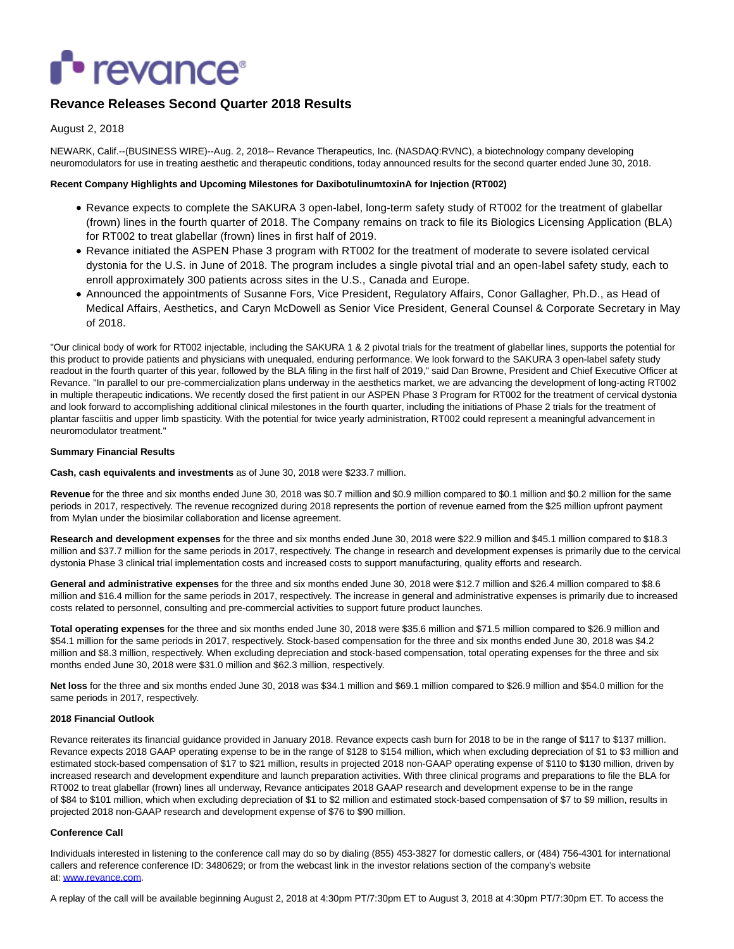# **• revance**•

# **Revance Releases Second Quarter 2018 Results**

# August 2, 2018

NEWARK, Calif.--(BUSINESS WIRE)--Aug. 2, 2018-- Revance Therapeutics, Inc. (NASDAQ:RVNC), a biotechnology company developing neuromodulators for use in treating aesthetic and therapeutic conditions, today announced results for the second quarter ended June 30, 2018.

#### **Recent Company Highlights and Upcoming Milestones for DaxibotulinumtoxinA for Injection (RT002)**

- Revance expects to complete the SAKURA 3 open-label, long-term safety study of RT002 for the treatment of glabellar (frown) lines in the fourth quarter of 2018. The Company remains on track to file its Biologics Licensing Application (BLA) for RT002 to treat glabellar (frown) lines in first half of 2019.
- Revance initiated the ASPEN Phase 3 program with RT002 for the treatment of moderate to severe isolated cervical dystonia for the U.S. in June of 2018. The program includes a single pivotal trial and an open-label safety study, each to enroll approximately 300 patients across sites in the U.S., Canada and Europe.
- Announced the appointments of Susanne Fors, Vice President, Regulatory Affairs, Conor Gallagher, Ph.D., as Head of Medical Affairs, Aesthetics, and Caryn McDowell as Senior Vice President, General Counsel & Corporate Secretary in May of 2018.

"Our clinical body of work for RT002 injectable, including the SAKURA 1 & 2 pivotal trials for the treatment of glabellar lines, supports the potential for this product to provide patients and physicians with unequaled, enduring performance. We look forward to the SAKURA 3 open-label safety study readout in the fourth quarter of this year, followed by the BLA filing in the first half of 2019," said Dan Browne, President and Chief Executive Officer at Revance. "In parallel to our pre-commercialization plans underway in the aesthetics market, we are advancing the development of long-acting RT002 in multiple therapeutic indications. We recently dosed the first patient in our ASPEN Phase 3 Program for RT002 for the treatment of cervical dystonia and look forward to accomplishing additional clinical milestones in the fourth quarter, including the initiations of Phase 2 trials for the treatment of plantar fasciitis and upper limb spasticity. With the potential for twice yearly administration, RT002 could represent a meaningful advancement in neuromodulator treatment."

# **Summary Financial Results**

**Cash, cash equivalents and investments** as of June 30, 2018 were \$233.7 million.

**Revenue** for the three and six months ended June 30, 2018 was \$0.7 million and \$0.9 million compared to \$0.1 million and \$0.2 million for the same periods in 2017, respectively. The revenue recognized during 2018 represents the portion of revenue earned from the \$25 million upfront payment from Mylan under the biosimilar collaboration and license agreement.

**Research and development expenses** for the three and six months ended June 30, 2018 were \$22.9 million and \$45.1 million compared to \$18.3 million and \$37.7 million for the same periods in 2017, respectively. The change in research and development expenses is primarily due to the cervical dystonia Phase 3 clinical trial implementation costs and increased costs to support manufacturing, quality efforts and research.

**General and administrative expenses** for the three and six months ended June 30, 2018 were \$12.7 million and \$26.4 million compared to \$8.6 million and \$16.4 million for the same periods in 2017, respectively. The increase in general and administrative expenses is primarily due to increased costs related to personnel, consulting and pre-commercial activities to support future product launches.

**Total operating expenses** for the three and six months ended June 30, 2018 were \$35.6 million and \$71.5 million compared to \$26.9 million and \$54.1 million for the same periods in 2017, respectively. Stock-based compensation for the three and six months ended June 30, 2018 was \$4.2 million and \$8.3 million, respectively. When excluding depreciation and stock-based compensation, total operating expenses for the three and six months ended June 30, 2018 were \$31.0 million and \$62.3 million, respectively.

**Net loss** for the three and six months ended June 30, 2018 was \$34.1 million and \$69.1 million compared to \$26.9 million and \$54.0 million for the same periods in 2017, respectively.

#### **2018 Financial Outlook**

Revance reiterates its financial guidance provided in January 2018. Revance expects cash burn for 2018 to be in the range of \$117 to \$137 million. Revance expects 2018 GAAP operating expense to be in the range of \$128 to \$154 million, which when excluding depreciation of \$1 to \$3 million and estimated stock-based compensation of \$17 to \$21 million, results in projected 2018 non-GAAP operating expense of \$110 to \$130 million, driven by increased research and development expenditure and launch preparation activities. With three clinical programs and preparations to file the BLA for RT002 to treat glabellar (frown) lines all underway, Revance anticipates 2018 GAAP research and development expense to be in the range of \$84 to \$101 million, which when excluding depreciation of \$1 to \$2 million and estimated stock-based compensation of \$7 to \$9 million, results in projected 2018 non-GAAP research and development expense of \$76 to \$90 million.

#### **Conference Call**

Individuals interested in listening to the conference call may do so by dialing (855) 453-3827 for domestic callers, or (484) 756-4301 for international callers and reference conference ID: 3480629; or from the webcast link in the investor relations section of the company's website at: [www.revance.com.](http://cts.businesswire.com/ct/CT?id=smartlink&url=http%3A%2F%2Fwww.revance.com&esheet=51847142&newsitemid=20180802005791&lan=en-US&anchor=www.revance.com&index=1&md5=8a43ca5bbee404ae9f8e69ca34ff5398)

A replay of the call will be available beginning August 2, 2018 at 4:30pm PT/7:30pm ET to August 3, 2018 at 4:30pm PT/7:30pm ET. To access the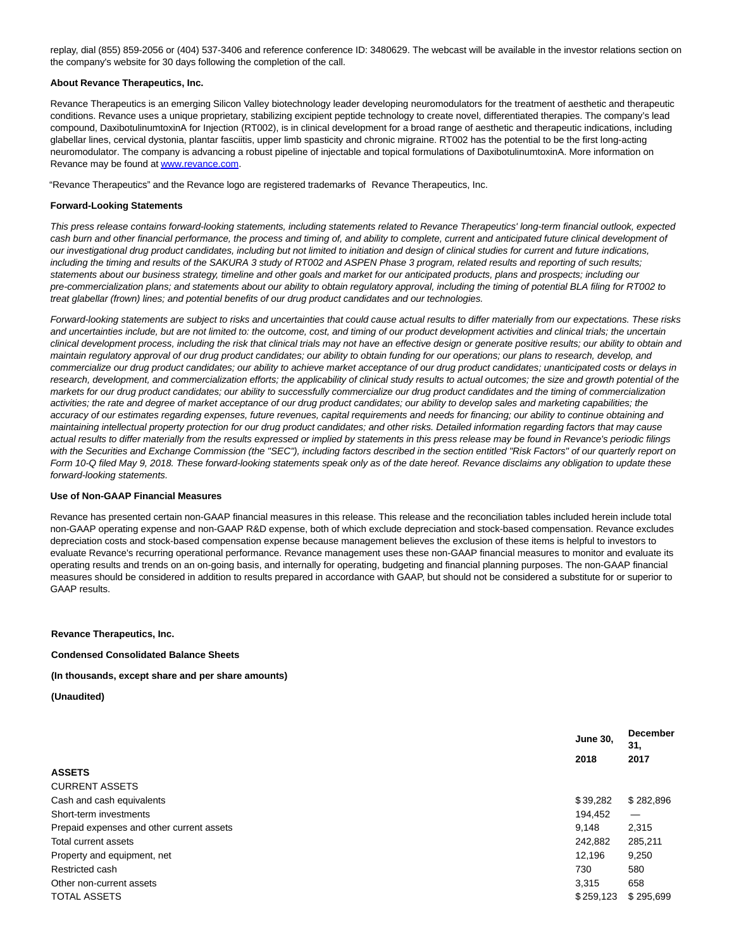replay, dial (855) 859-2056 or (404) 537-3406 and reference conference ID: 3480629. The webcast will be available in the investor relations section on the company's website for 30 days following the completion of the call.

#### **About Revance Therapeutics, Inc.**

Revance Therapeutics is an emerging Silicon Valley biotechnology leader developing neuromodulators for the treatment of aesthetic and therapeutic conditions. Revance uses a unique proprietary, stabilizing excipient peptide technology to create novel, differentiated therapies. The company's lead compound, DaxibotulinumtoxinA for Injection (RT002), is in clinical development for a broad range of aesthetic and therapeutic indications, including glabellar lines, cervical dystonia, plantar fasciitis, upper limb spasticity and chronic migraine. RT002 has the potential to be the first long-acting neuromodulator. The company is advancing a robust pipeline of injectable and topical formulations of DaxibotulinumtoxinA. More information on Revance may be found a[t www.revance.com.](http://cts.businesswire.com/ct/CT?id=smartlink&url=http%3A%2F%2Fwww.revance.com&esheet=51847142&newsitemid=20180802005791&lan=en-US&anchor=www.revance.com&index=2&md5=33302ad640f213b8334c503958d0451f)

"Revance Therapeutics" and the Revance logo are registered trademarks of Revance Therapeutics, Inc.

#### **Forward-Looking Statements**

This press release contains forward-looking statements, including statements related to Revance Therapeutics' long-term financial outlook, expected cash burn and other financial performance, the process and timing of, and ability to complete, current and anticipated future clinical development of our investigational drug product candidates, including but not limited to initiation and design of clinical studies for current and future indications, including the timing and results of the SAKURA 3 study of RT002 and ASPEN Phase 3 program, related results and reporting of such results; statements about our business strategy, timeline and other goals and market for our anticipated products, plans and prospects; including our pre-commercialization plans; and statements about our ability to obtain regulatory approval, including the timing of potential BLA filing for RT002 to treat glabellar (frown) lines; and potential benefits of our drug product candidates and our technologies.

Forward-looking statements are subject to risks and uncertainties that could cause actual results to differ materially from our expectations. These risks and uncertainties include, but are not limited to: the outcome, cost, and timing of our product development activities and clinical trials; the uncertain clinical development process, including the risk that clinical trials may not have an effective design or generate positive results; our ability to obtain and maintain regulatory approval of our drug product candidates; our ability to obtain funding for our operations; our plans to research, develop, and commercialize our drug product candidates; our ability to achieve market acceptance of our drug product candidates; unanticipated costs or delays in research, development, and commercialization efforts; the applicability of clinical study results to actual outcomes; the size and growth potential of the markets for our drug product candidates; our ability to successfully commercialize our drug product candidates and the timing of commercialization activities; the rate and degree of market acceptance of our drug product candidates; our ability to develop sales and marketing capabilities; the accuracy of our estimates regarding expenses, future revenues, capital requirements and needs for financing; our ability to continue obtaining and maintaining intellectual property protection for our drug product candidates; and other risks. Detailed information regarding factors that may cause actual results to differ materially from the results expressed or implied by statements in this press release may be found in Revance's periodic filings with the Securities and Exchange Commission (the "SEC"), including factors described in the section entitled "Risk Factors" of our quarterly report on Form 10-Q filed May 9, 2018. These forward-looking statements speak only as of the date hereof. Revance disclaims any obligation to update these forward-looking statements.

#### **Use of Non-GAAP Financial Measures**

Revance has presented certain non-GAAP financial measures in this release. This release and the reconciliation tables included herein include total non-GAAP operating expense and non-GAAP R&D expense, both of which exclude depreciation and stock-based compensation. Revance excludes depreciation costs and stock-based compensation expense because management believes the exclusion of these items is helpful to investors to evaluate Revance's recurring operational performance. Revance management uses these non-GAAP financial measures to monitor and evaluate its operating results and trends on an on-going basis, and internally for operating, budgeting and financial planning purposes. The non-GAAP financial measures should be considered in addition to results prepared in accordance with GAAP, but should not be considered a substitute for or superior to GAAP results.

**Revance Therapeutics, Inc.**

**Condensed Consolidated Balance Sheets**

**(In thousands, except share and per share amounts)**

**(Unaudited)**

|                                           | <b>June 30,</b> | <b>December</b><br>31. |  |
|-------------------------------------------|-----------------|------------------------|--|
|                                           | 2018            | 2017                   |  |
| <b>ASSETS</b>                             |                 |                        |  |
| <b>CURRENT ASSETS</b>                     |                 |                        |  |
| Cash and cash equivalents                 | \$39,282        | \$282,896              |  |
| Short-term investments                    | 194,452         |                        |  |
| Prepaid expenses and other current assets | 9.148           | 2,315                  |  |
| Total current assets                      | 242,882         | 285,211                |  |
| Property and equipment, net               | 12.196          | 9,250                  |  |
| Restricted cash                           | 730             | 580                    |  |
| Other non-current assets                  | 3,315           | 658                    |  |
| <b>TOTAL ASSETS</b>                       | \$259,123       | \$295,699              |  |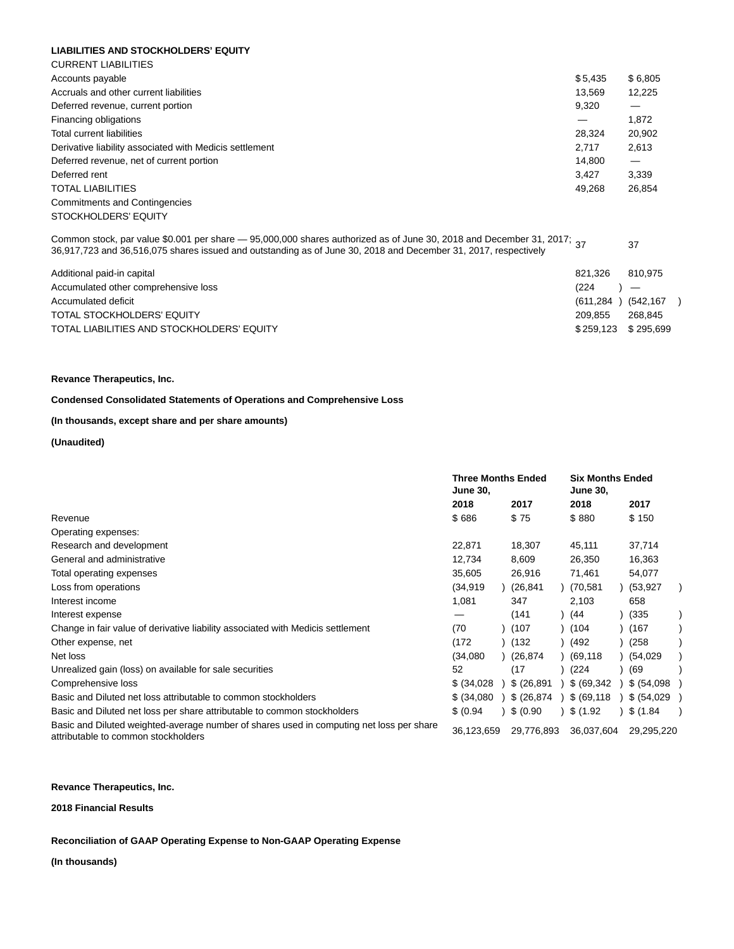#### **LIABILITIES AND STOCKHOLDERS' EQUITY**

| <b>CURRENT LIABILITIES</b>                              |         |         |
|---------------------------------------------------------|---------|---------|
| Accounts payable                                        | \$5.435 | \$6,805 |
| Accruals and other current liabilities                  | 13.569  | 12.225  |
| Deferred revenue, current portion                       | 9,320   | —       |
| Financing obligations                                   |         | 1,872   |
| Total current liabilities                               | 28.324  | 20,902  |
| Derivative liability associated with Medicis settlement | 2.717   | 2,613   |
| Deferred revenue, net of current portion                | 14.800  | —       |
| Deferred rent                                           | 3.427   | 3,339   |
| <b>TOTAL LIABILITIES</b>                                | 49.268  | 26.854  |
| <b>Commitments and Contingencies</b>                    |         |         |
| STOCKHOLDERS' EQUITY                                    |         |         |
|                                                         |         |         |

Common stock, par value \$0.001 per share  $-$  95,000,000 shares authorized as of June 30, 2018 and December 31, 2017; 37 Common stock, par value \$0.001 per snare — 95,000,000 snares authorized as or June 30, 2018 and December 31, 2017;<br>36,917,723 and 36,516,075 shares issued and outstanding as of June 30, 2018 and December 31, 2017, respecti

| Additional paid-in capital<br>Accumulated other comprehensive loss<br>Accumulated deficit<br>TOTAL STOCKHOLDERS' EQUITY | 821.326<br>(224)<br>$(611, 284)$ $(542, 167)$<br>209.855 | 810.975<br>$\overline{\phantom{0}}$<br>268.845 |  |
|-------------------------------------------------------------------------------------------------------------------------|----------------------------------------------------------|------------------------------------------------|--|
| TOTAL LIABILITIES AND STOCKHOLDERS' EQUITY                                                                              | \$259.123 \$295.699                                      |                                                |  |

#### **Revance Therapeutics, Inc.**

# **Condensed Consolidated Statements of Operations and Comprehensive Loss**

# **(In thousands, except share and per share amounts)**

# **(Unaudited)**

|                                                                                                                                 | <b>Three Months Ended</b><br><b>June 30,</b> |  |             | <b>Six Months Ended</b><br><b>June 30,</b> |  |             |  |
|---------------------------------------------------------------------------------------------------------------------------------|----------------------------------------------|--|-------------|--------------------------------------------|--|-------------|--|
|                                                                                                                                 | 2018                                         |  | 2017        | 2018                                       |  | 2017        |  |
| Revenue                                                                                                                         | \$686                                        |  | \$75        | \$880                                      |  | \$150       |  |
| Operating expenses:                                                                                                             |                                              |  |             |                                            |  |             |  |
| Research and development                                                                                                        | 22,871                                       |  | 18,307      | 45,111                                     |  | 37,714      |  |
| General and administrative                                                                                                      | 12,734                                       |  | 8,609       | 26,350                                     |  | 16,363      |  |
| Total operating expenses                                                                                                        | 35,605                                       |  | 26,916      | 71,461                                     |  | 54,077      |  |
| Loss from operations                                                                                                            | (34, 919)                                    |  | (26, 841)   | (70,581                                    |  | (53, 927)   |  |
| Interest income                                                                                                                 | 1,081                                        |  | 347         | 2,103                                      |  | 658         |  |
| Interest expense                                                                                                                |                                              |  | (141)       | (44)                                       |  | (335)       |  |
| Change in fair value of derivative liability associated with Medicis settlement                                                 | (70                                          |  | (107)       | (104)                                      |  | (167)       |  |
| Other expense, net                                                                                                              | (172)                                        |  | (132)       | (492                                       |  | (258)       |  |
| Net loss                                                                                                                        | (34,080)                                     |  | (26.874)    | (69,118                                    |  | (54, 029)   |  |
| Unrealized gain (loss) on available for sale securities                                                                         | 52                                           |  | (17)        | (224)                                      |  | (69)        |  |
| Comprehensive loss                                                                                                              | \$ (34,028)                                  |  | \$ (26.891) | \$ (69, 342)                               |  | \$ (54,098) |  |
| Basic and Diluted net loss attributable to common stockholders                                                                  | \$ (34,080)                                  |  | \$ (26,874) | \$ (69, 118)                               |  | \$ (54,029) |  |
| Basic and Diluted net loss per share attributable to common stockholders                                                        | \$ (0.94)                                    |  | \$ (0.90)   | \$(1.92)                                   |  | \$(1.84)    |  |
| Basic and Diluted weighted-average number of shares used in computing net loss per share<br>attributable to common stockholders | 36,123,659                                   |  | 29,776,893  | 36,037,604                                 |  | 29,295,220  |  |

#### **Revance Therapeutics, Inc.**

**2018 Financial Results**

#### **Reconciliation of GAAP Operating Expense to Non-GAAP Operating Expense**

**(In thousands)**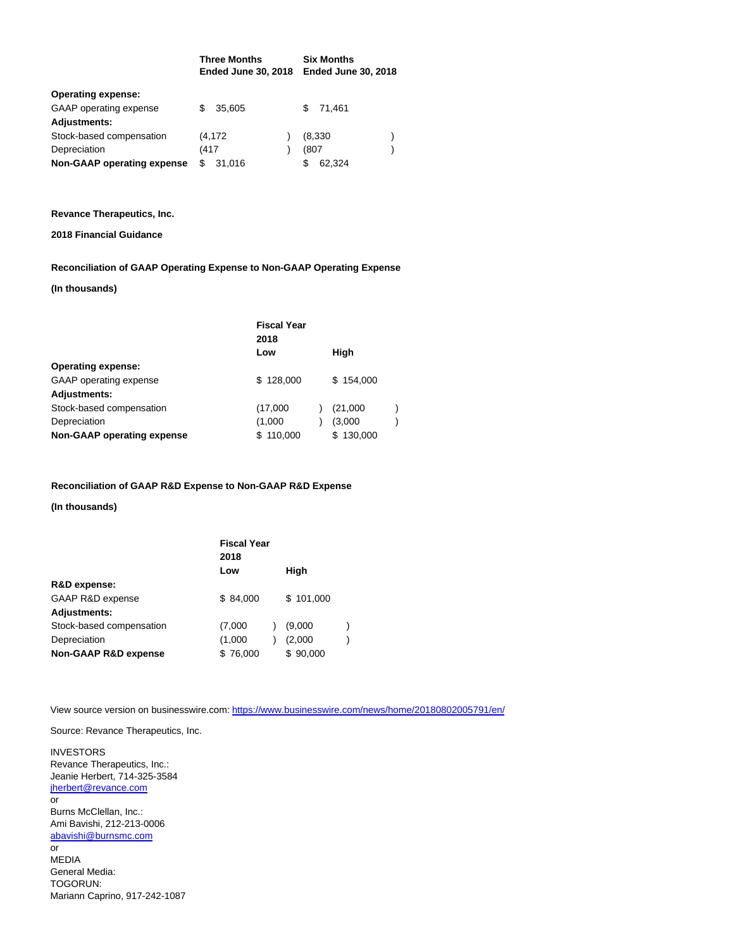|                            |      | <b>Three Months</b><br><b>Ended June 30, 2018</b> |  |      | <b>Six Months</b><br><b>Ended June 30, 2018</b> |  |  |
|----------------------------|------|---------------------------------------------------|--|------|-------------------------------------------------|--|--|
| <b>Operating expense:</b>  |      |                                                   |  |      |                                                 |  |  |
| GAAP operating expense     |      | 35.605                                            |  | SS.  | 71.461                                          |  |  |
| <b>Adjustments:</b>        |      |                                                   |  |      |                                                 |  |  |
| Stock-based compensation   |      | (4,172                                            |  |      | (8,330)                                         |  |  |
| Depreciation               | (417 |                                                   |  | (807 |                                                 |  |  |
| Non-GAAP operating expense | S    | 31,016                                            |  | S    | 62.324                                          |  |  |

#### **Revance Therapeutics, Inc.**

# **2018 Financial Guidance**

# **Reconciliation of GAAP Operating Expense to Non-GAAP Operating Expense**

# **(In thousands)**

|                            | <b>Fiscal Year</b><br>2018 |           |  |
|----------------------------|----------------------------|-----------|--|
|                            | Low                        | High      |  |
| <b>Operating expense:</b>  |                            |           |  |
| GAAP operating expense     | \$128,000                  | \$154,000 |  |
| <b>Adjustments:</b>        |                            |           |  |
| Stock-based compensation   | (17,000)                   | (21,000)  |  |
| Depreciation               | (1,000)                    | (3,000)   |  |
| Non-GAAP operating expense | \$110,000                  | \$130,000 |  |

# **Reconciliation of GAAP R&D Expense to Non-GAAP R&D Expense**

**(In thousands)**

|                                 | <b>Fiscal Year</b><br>2018 |  |           |  |
|---------------------------------|----------------------------|--|-----------|--|
|                                 | Low                        |  | High      |  |
| R&D expense:                    |                            |  |           |  |
| GAAP R&D expense                | \$84.000                   |  | \$101,000 |  |
| <b>Adjustments:</b>             |                            |  |           |  |
| Stock-based compensation        | (7,000)                    |  | (9,000)   |  |
| Depreciation                    | (1,000)                    |  | (2,000)   |  |
| <b>Non-GAAP R&amp;D expense</b> | \$76,000                   |  | \$90,000  |  |

View source version on businesswire.com:<https://www.businesswire.com/news/home/20180802005791/en/>

Source: Revance Therapeutics, Inc.

INVESTORS Revance Therapeutics, Inc.: Jeanie Herbert, 714-325-3584 [jherbert@revance.com](mailto:jherbert@revance.com) or Burns McClellan, Inc.: Ami Bavishi, 212-213-0006 [abavishi@burnsmc.com](mailto:abavishi@burnsmc.com) or MEDIA General Media: TOGORUN: Mariann Caprino, 917-242-1087